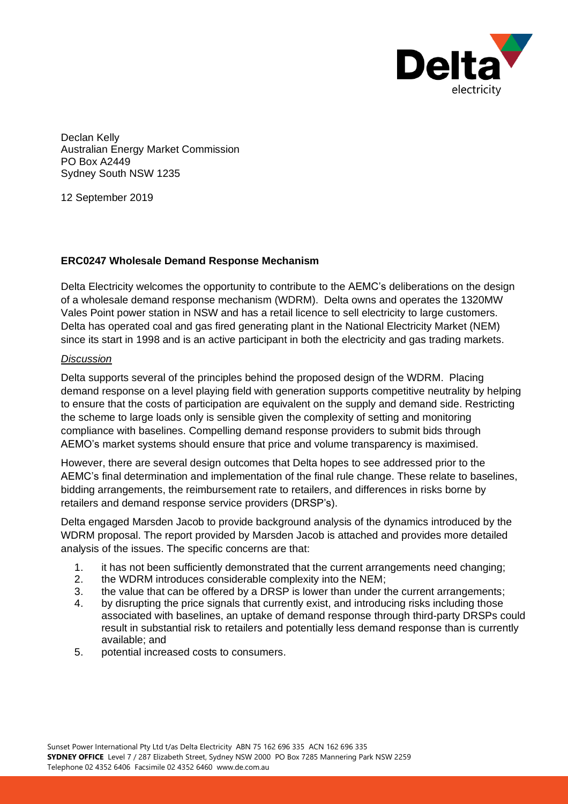

Declan Kelly Australian Energy Market Commission PO Box A2449 Sydney South NSW 1235

12 September 2019

### **ERC0247 Wholesale Demand Response Mechanism**

Delta Electricity welcomes the opportunity to contribute to the AEMC's deliberations on the design of a wholesale demand response mechanism (WDRM). Delta owns and operates the 1320MW Vales Point power station in NSW and has a retail licence to sell electricity to large customers. Delta has operated coal and gas fired generating plant in the National Electricity Market (NEM) since its start in 1998 and is an active participant in both the electricity and gas trading markets.

#### *Discussion*

Delta supports several of the principles behind the proposed design of the WDRM. Placing demand response on a level playing field with generation supports competitive neutrality by helping to ensure that the costs of participation are equivalent on the supply and demand side. Restricting the scheme to large loads only is sensible given the complexity of setting and monitoring compliance with baselines. Compelling demand response providers to submit bids through AEMO's market systems should ensure that price and volume transparency is maximised.

However, there are several design outcomes that Delta hopes to see addressed prior to the AEMC's final determination and implementation of the final rule change. These relate to baselines, bidding arrangements, the reimbursement rate to retailers, and differences in risks borne by retailers and demand response service providers (DRSP's).

Delta engaged Marsden Jacob to provide background analysis of the dynamics introduced by the WDRM proposal. The report provided by Marsden Jacob is attached and provides more detailed analysis of the issues. The specific concerns are that:

- 1. it has not been sufficiently demonstrated that the current arrangements need changing;
- 2. the WDRM introduces considerable complexity into the NEM;
- 3. the value that can be offered by a DRSP is lower than under the current arrangements;
- 4. by disrupting the price signals that currently exist, and introducing risks including those associated with baselines, an uptake of demand response through third-party DRSPs could result in substantial risk to retailers and potentially less demand response than is currently available; and
- 5. potential increased costs to consumers.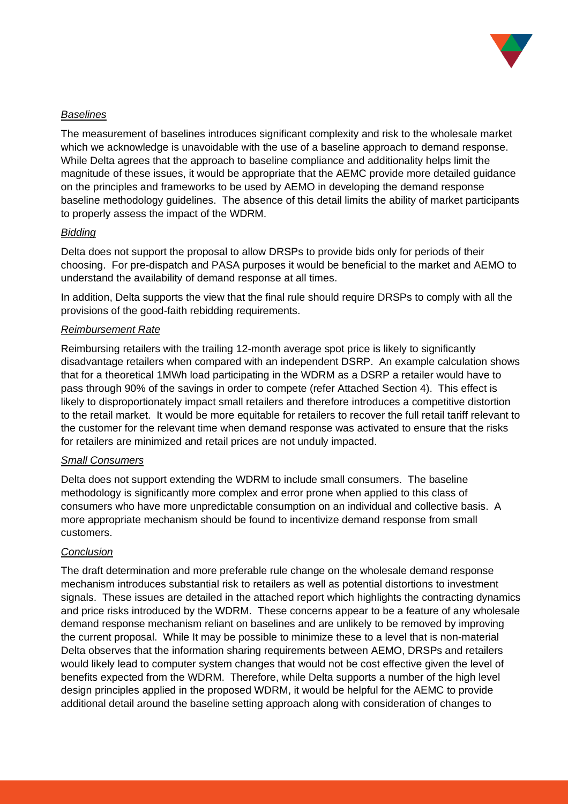

### *Baselines*

The measurement of baselines introduces significant complexity and risk to the wholesale market which we acknowledge is unavoidable with the use of a baseline approach to demand response. While Delta agrees that the approach to baseline compliance and additionality helps limit the magnitude of these issues, it would be appropriate that the AEMC provide more detailed guidance on the principles and frameworks to be used by AEMO in developing the demand response baseline methodology guidelines. The absence of this detail limits the ability of market participants to properly assess the impact of the WDRM.

### *Bidding*

Delta does not support the proposal to allow DRSPs to provide bids only for periods of their choosing. For pre-dispatch and PASA purposes it would be beneficial to the market and AEMO to understand the availability of demand response at all times.

In addition, Delta supports the view that the final rule should require DRSPs to comply with all the provisions of the good-faith rebidding requirements.

### *Reimbursement Rate*

Reimbursing retailers with the trailing 12-month average spot price is likely to significantly disadvantage retailers when compared with an independent DSRP. An example calculation shows that for a theoretical 1MWh load participating in the WDRM as a DSRP a retailer would have to pass through 90% of the savings in order to compete (refer Attached Section 4). This effect is likely to disproportionately impact small retailers and therefore introduces a competitive distortion to the retail market. It would be more equitable for retailers to recover the full retail tariff relevant to the customer for the relevant time when demand response was activated to ensure that the risks for retailers are minimized and retail prices are not unduly impacted.

### *Small Consumers*

Delta does not support extending the WDRM to include small consumers. The baseline methodology is significantly more complex and error prone when applied to this class of consumers who have more unpredictable consumption on an individual and collective basis. A more appropriate mechanism should be found to incentivize demand response from small customers.

### *Conclusion*

The draft determination and more preferable rule change on the wholesale demand response mechanism introduces substantial risk to retailers as well as potential distortions to investment signals. These issues are detailed in the attached report which highlights the contracting dynamics and price risks introduced by the WDRM. These concerns appear to be a feature of any wholesale demand response mechanism reliant on baselines and are unlikely to be removed by improving the current proposal. While It may be possible to minimize these to a level that is non-material Delta observes that the information sharing requirements between AEMO, DRSPs and retailers would likely lead to computer system changes that would not be cost effective given the level of benefits expected from the WDRM. Therefore, while Delta supports a number of the high level design principles applied in the proposed WDRM, it would be helpful for the AEMC to provide additional detail around the baseline setting approach along with consideration of changes to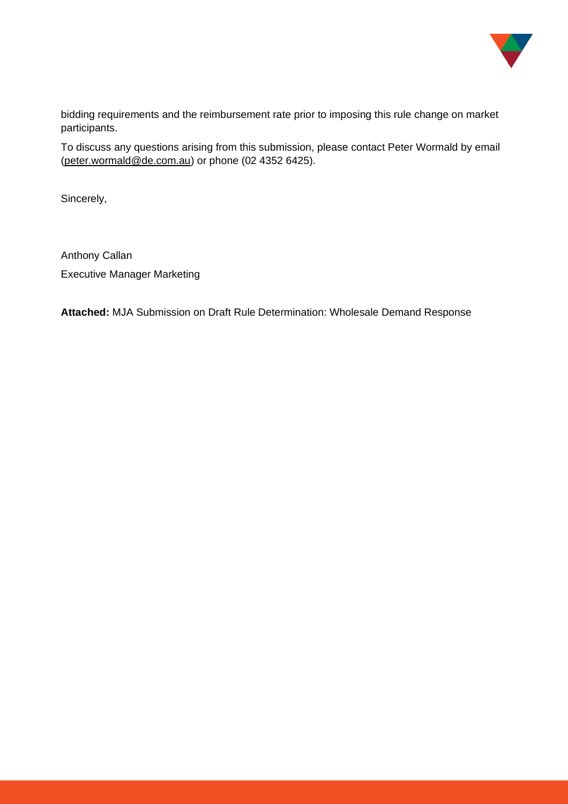

bidding requirements and the reimbursement rate prior to imposing this rule change on market participants.

To discuss any questions arising from this submission, please contact Peter Wormald by email [\(peter.wormald@de.com.au\)](mailto:peter.wormald@de.com.au) or phone (02 4352 6425).

Sincerely,

Anthony Callan Executive Manager Marketing

**Attached:** MJA Submission on Draft Rule Determination: Wholesale Demand Response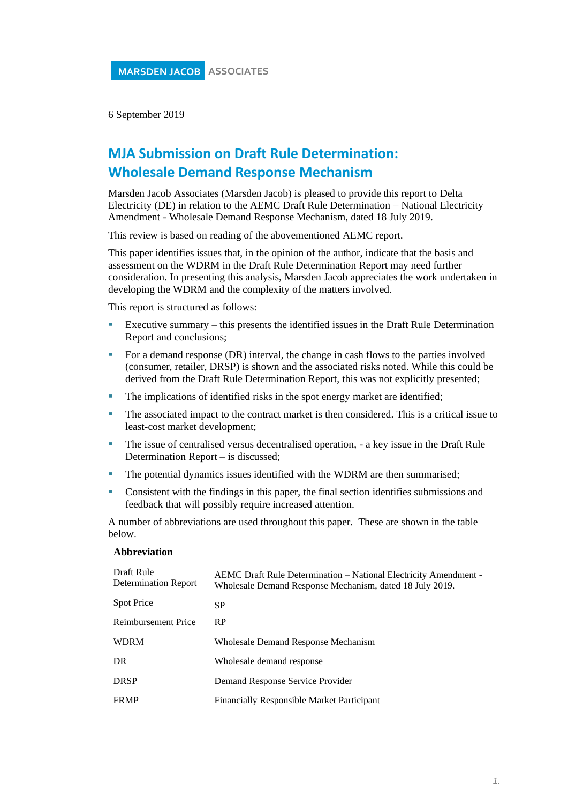6 September 2019

# **MJA Submission on Draft Rule Determination: Wholesale Demand Response Mechanism**

Marsden Jacob Associates (Marsden Jacob) is pleased to provide this report to Delta Electricity (DE) in relation to the AEMC Draft Rule Determination – National Electricity Amendment - Wholesale Demand Response Mechanism, dated 18 July 2019.

This review is based on reading of the abovementioned AEMC report.

This paper identifies issues that, in the opinion of the author, indicate that the basis and assessment on the WDRM in the Draft Rule Determination Report may need further consideration. In presenting this analysis, Marsden Jacob appreciates the work undertaken in developing the WDRM and the complexity of the matters involved.

This report is structured as follows:

- Executive summary this presents the identified issues in the Draft Rule Determination Report and conclusions;
- For a demand response (DR) interval, the change in cash flows to the parties involved (consumer, retailer, DRSP) is shown and the associated risks noted. While this could be derived from the Draft Rule Determination Report, this was not explicitly presented;
- The implications of identified risks in the spot energy market are identified;
- **•** The associated impact to the contract market is then considered. This is a critical issue to least-cost market development;
- The issue of centralised versus decentralised operation, a key issue in the Draft Rule Determination Report – is discussed;
- **•** The potential dynamics issues identified with the WDRM are then summarised;
- **•** Consistent with the findings in this paper, the final section identifies submissions and feedback that will possibly require increased attention.

A number of abbreviations are used throughout this paper. These are shown in the table below.

#### **Abbreviation**

| Draft Rule<br><b>Determination Report</b> | AEMC Draft Rule Determination – National Electricity Amendment -<br>Wholesale Demand Response Mechanism, dated 18 July 2019. |
|-------------------------------------------|------------------------------------------------------------------------------------------------------------------------------|
| <b>Spot Price</b>                         | SP                                                                                                                           |
| Reimbursement Price                       | <b>RP</b>                                                                                                                    |
| <b>WDRM</b>                               | Wholesale Demand Response Mechanism                                                                                          |
| DR.                                       | Wholesale demand response                                                                                                    |
| <b>DRSP</b>                               | Demand Response Service Provider                                                                                             |
| <b>FRMP</b>                               | <b>Financially Responsible Market Participant</b>                                                                            |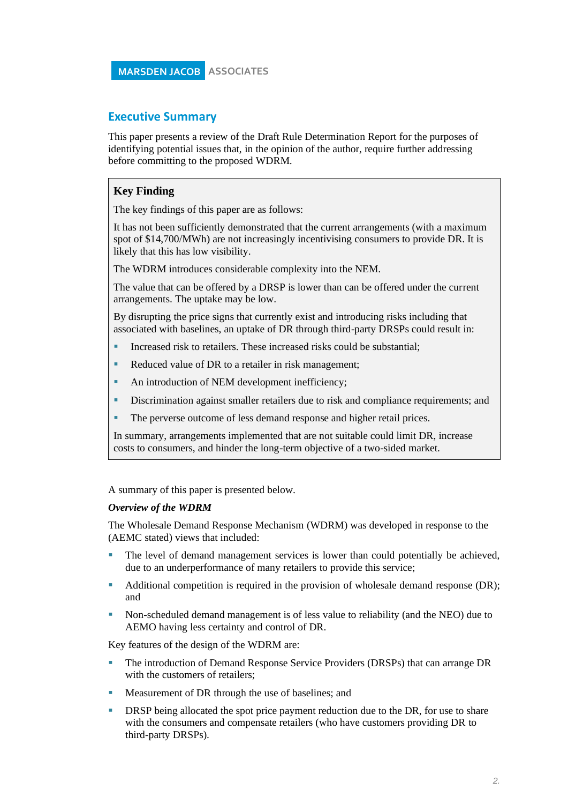### **Executive Summary**

This paper presents a review of the Draft Rule Determination Report for the purposes of identifying potential issues that, in the opinion of the author, require further addressing before committing to the proposed WDRM.

### **Key Finding**

The key findings of this paper are as follows:

It has not been sufficiently demonstrated that the current arrangements (with a maximum spot of \$14,700/MWh) are not increasingly incentivising consumers to provide DR. It is likely that this has low visibility.

The WDRM introduces considerable complexity into the NEM.

The value that can be offered by a DRSP is lower than can be offered under the current arrangements. The uptake may be low.

By disrupting the price signs that currently exist and introducing risks including that associated with baselines, an uptake of DR through third-party DRSPs could result in:

- Increased risk to retailers. These increased risks could be substantial:
- Reduced value of DR to a retailer in risk management;
- An introduction of NEM development inefficiency;
- **EXECUTE:** Discrimination against smaller retailers due to risk and compliance requirements; and
- The perverse outcome of less demand response and higher retail prices.

In summary, arrangements implemented that are not suitable could limit DR, increase costs to consumers, and hinder the long-term objective of a two-sided market.

A summary of this paper is presented below.

#### *Overview of the WDRM*

The Wholesale Demand Response Mechanism (WDRM) was developed in response to the (AEMC stated) views that included:

- The level of demand management services is lower than could potentially be achieved, due to an underperformance of many retailers to provide this service;
- Additional competition is required in the provision of wholesale demand response (DR); and
- Non-scheduled demand management is of less value to reliability (and the NEO) due to AEMO having less certainty and control of DR.

Key features of the design of the WDRM are:

- The introduction of Demand Response Service Providers (DRSPs) that can arrange DR with the customers of retailers;
- **Measurement of DR through the use of baselines; and**
- DRSP being allocated the spot price payment reduction due to the DR, for use to share with the consumers and compensate retailers (who have customers providing DR to third-party DRSPs).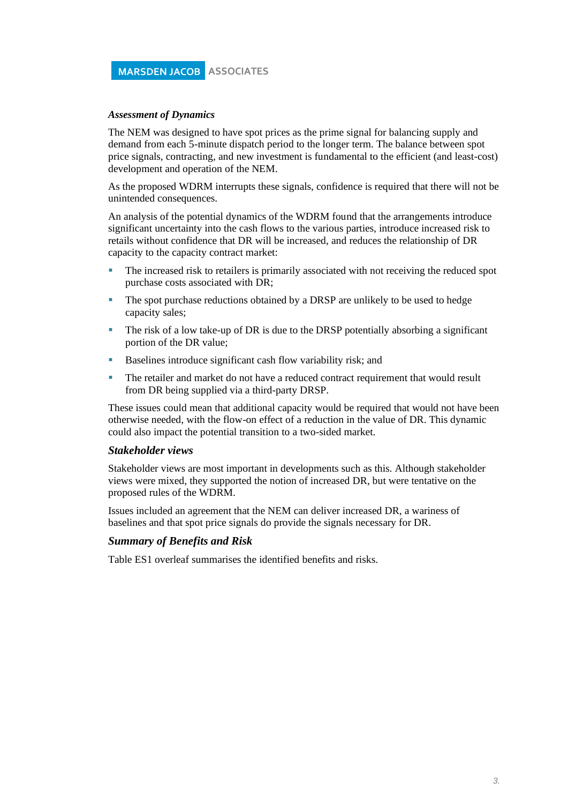#### *Assessment of Dynamics*

The NEM was designed to have spot prices as the prime signal for balancing supply and demand from each 5-minute dispatch period to the longer term. The balance between spot price signals, contracting, and new investment is fundamental to the efficient (and least-cost) development and operation of the NEM.

As the proposed WDRM interrupts these signals, confidence is required that there will not be unintended consequences.

An analysis of the potential dynamics of the WDRM found that the arrangements introduce significant uncertainty into the cash flows to the various parties, introduce increased risk to retails without confidence that DR will be increased, and reduces the relationship of DR capacity to the capacity contract market:

- The increased risk to retailers is primarily associated with not receiving the reduced spot purchase costs associated with DR;
- The spot purchase reductions obtained by a DRSP are unlikely to be used to hedge capacity sales;
- The risk of a low take-up of DR is due to the DRSP potentially absorbing a significant portion of the DR value;
- Baselines introduce significant cash flow variability risk; and
- The retailer and market do not have a reduced contract requirement that would result from DR being supplied via a third-party DRSP.

These issues could mean that additional capacity would be required that would not have been otherwise needed, with the flow-on effect of a reduction in the value of DR. This dynamic could also impact the potential transition to a two-sided market.

#### *Stakeholder views*

Stakeholder views are most important in developments such as this. Although stakeholder views were mixed, they supported the notion of increased DR, but were tentative on the proposed rules of the WDRM.

Issues included an agreement that the NEM can deliver increased DR, a wariness of baselines and that spot price signals do provide the signals necessary for DR.

#### *Summary of Benefits and Risk*

Table ES1 overleaf summarises the identified benefits and risks.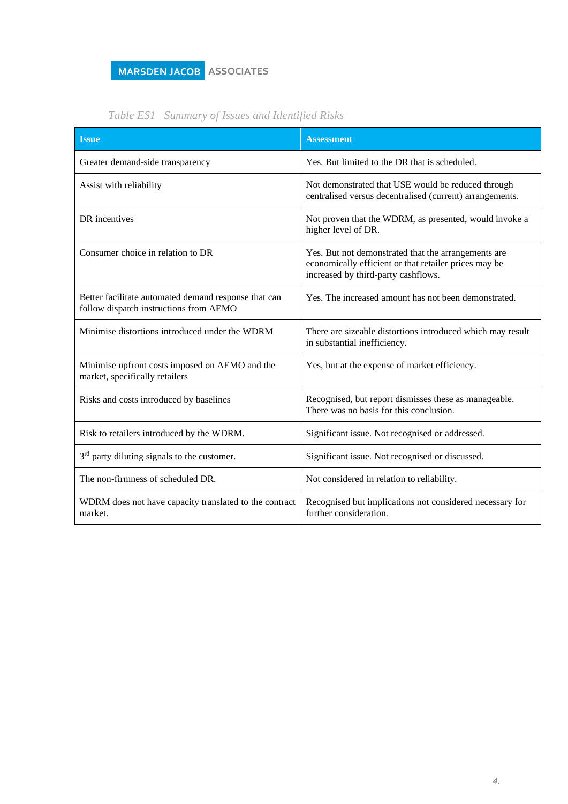| <b>Issue</b>                                                                                   | <b>Assessment</b>                                                                                                                                   |
|------------------------------------------------------------------------------------------------|-----------------------------------------------------------------------------------------------------------------------------------------------------|
| Greater demand-side transparency                                                               | Yes. But limited to the DR that is scheduled.                                                                                                       |
| Assist with reliability                                                                        | Not demonstrated that USE would be reduced through<br>centralised versus decentralised (current) arrangements.                                      |
| DR incentives                                                                                  | Not proven that the WDRM, as presented, would invoke a<br>higher level of DR.                                                                       |
| Consumer choice in relation to DR                                                              | Yes. But not demonstrated that the arrangements are<br>economically efficient or that retailer prices may be<br>increased by third-party cashflows. |
| Better facilitate automated demand response that can<br>follow dispatch instructions from AEMO | Yes. The increased amount has not been demonstrated.                                                                                                |
| Minimise distortions introduced under the WDRM                                                 | There are sizeable distortions introduced which may result<br>in substantial inefficiency.                                                          |
| Minimise upfront costs imposed on AEMO and the<br>market, specifically retailers               | Yes, but at the expense of market efficiency.                                                                                                       |
| Risks and costs introduced by baselines                                                        | Recognised, but report dismisses these as manageable.<br>There was no basis for this conclusion.                                                    |
| Risk to retailers introduced by the WDRM.                                                      | Significant issue. Not recognised or addressed.                                                                                                     |
| 3 <sup>rd</sup> party diluting signals to the customer.                                        | Significant issue. Not recognised or discussed.                                                                                                     |
| The non-firmness of scheduled DR.                                                              | Not considered in relation to reliability.                                                                                                          |
| WDRM does not have capacity translated to the contract<br>market.                              | Recognised but implications not considered necessary for<br>further consideration.                                                                  |

# *Table ES1 Summary of Issues and Identified Risks*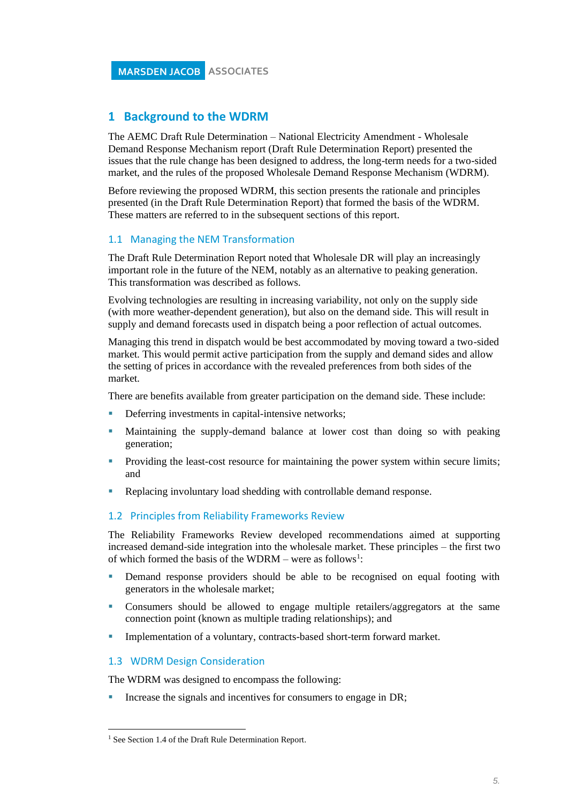### **1 Background to the WDRM**

The AEMC Draft Rule Determination – National Electricity Amendment - Wholesale Demand Response Mechanism report (Draft Rule Determination Report) presented the issues that the rule change has been designed to address, the long-term needs for a two-sided market, and the rules of the proposed Wholesale Demand Response Mechanism (WDRM).

Before reviewing the proposed WDRM, this section presents the rationale and principles presented (in the Draft Rule Determination Report) that formed the basis of the WDRM. These matters are referred to in the subsequent sections of this report.

### 1.1 Managing the NEM Transformation

The Draft Rule Determination Report noted that Wholesale DR will play an increasingly important role in the future of the NEM, notably as an alternative to peaking generation. This transformation was described as follows.

Evolving technologies are resulting in increasing variability, not only on the supply side (with more weather-dependent generation), but also on the demand side. This will result in supply and demand forecasts used in dispatch being a poor reflection of actual outcomes.

Managing this trend in dispatch would be best accommodated by moving toward a two-sided market. This would permit active participation from the supply and demand sides and allow the setting of prices in accordance with the revealed preferences from both sides of the market.

There are benefits available from greater participation on the demand side. These include:

- **•** Deferring investments in capital-intensive networks;
- Maintaining the supply-demand balance at lower cost than doing so with peaking generation;
- Providing the least-cost resource for maintaining the power system within secure limits; and
- Replacing involuntary load shedding with controllable demand response.

#### 1.2 Principles from Reliability Frameworks Review

The Reliability Frameworks Review developed recommendations aimed at supporting increased demand-side integration into the wholesale market. These principles – the first two of which formed the basis of the WDRM – were as follows<sup>1</sup>:

- **•** Demand response providers should be able to be recognised on equal footing with generators in the wholesale market;
- Consumers should be allowed to engage multiple retailers/aggregators at the same connection point (known as multiple trading relationships); and
- **Implementation of a voluntary, contracts-based short-term forward market.**

### 1.3 WDRM Design Consideration

The WDRM was designed to encompass the following:

Increase the signals and incentives for consumers to engage in DR;

<sup>&</sup>lt;sup>1</sup> See Section 1.4 of the Draft Rule Determination Report.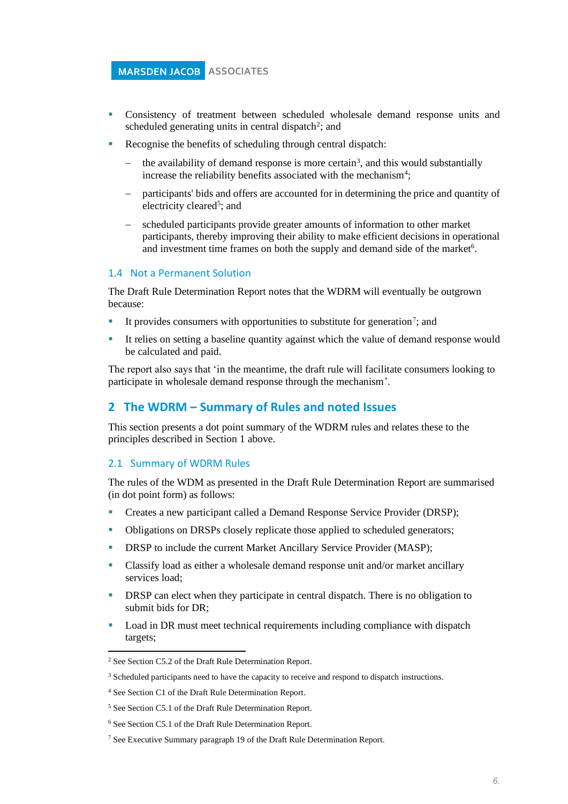- Consistency of treatment between scheduled wholesale demand response units and scheduled generating units in central dispatch<sup>2</sup>; and
- Recognise the benefits of scheduling through central dispatch:
	- − the availability of demand response is more certain<sup>3</sup>, and this would substantially increase the reliability benefits associated with the mechanism<sup>4</sup>;
	- participants' bids and offers are accounted for in determining the price and quantity of electricity cleared<sup>5</sup>; and
	- scheduled participants provide greater amounts of information to other market participants, thereby improving their ability to make efficient decisions in operational and investment time frames on both the supply and demand side of the market<sup>6</sup>.

#### 1.4 Not a Permanent Solution

The Draft Rule Determination Report notes that the WDRM will eventually be outgrown because:

- It provides consumers with opportunities to substitute for generation<sup>7</sup>; and
- It relies on setting a baseline quantity against which the value of demand response would be calculated and paid.

The report also says that 'in the meantime, the draft rule will facilitate consumers looking to participate in wholesale demand response through the mechanism'.

### **2 The WDRM – Summary of Rules and noted Issues**

This section presents a dot point summary of the WDRM rules and relates these to the principles described in Section 1 above.

#### 2.1 Summary of WDRM Rules

The rules of the WDM as presented in the Draft Rule Determination Report are summarised (in dot point form) as follows:

- **•** Creates a new participant called a Demand Response Service Provider (DRSP);
- Obligations on DRSPs closely replicate those applied to scheduled generators;
- DRSP to include the current Market Ancillary Service Provider (MASP);
- Classify load as either a wholesale demand response unit and/or market ancillary services load;
- **DRSP** can elect when they participate in central dispatch. There is no obligation to submit bids for DR;
- Load in DR must meet technical requirements including compliance with dispatch targets;

<sup>2</sup> See Section C5.2 of the Draft Rule Determination Report.

<sup>&</sup>lt;sup>3</sup> Scheduled participants need to have the capacity to receive and respond to dispatch instructions.

<sup>4</sup> See Section C1 of the Draft Rule Determination Report.

<sup>5</sup> See Section C5.1 of the Draft Rule Determination Report.

<sup>6</sup> See Section C5.1 of the Draft Rule Determination Report.

<sup>7</sup> See Executive Summary paragraph 19 of the Draft Rule Determination Report.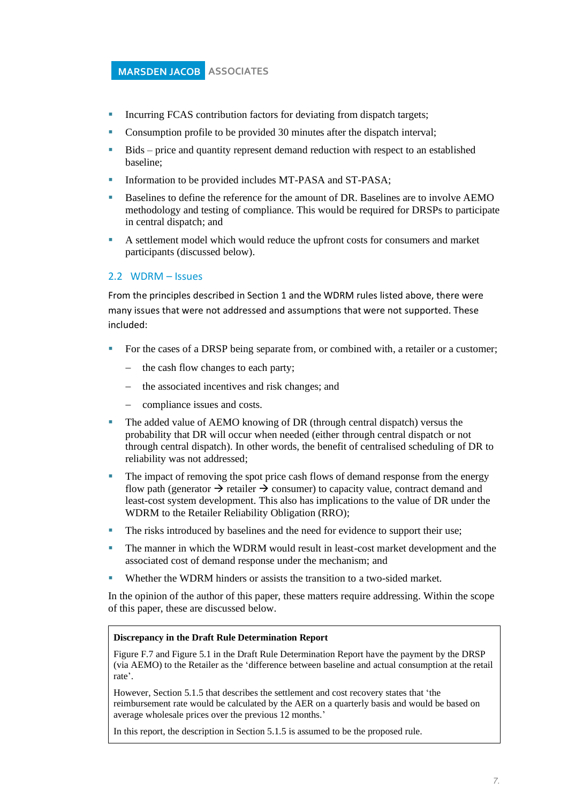- **EXECUTE:** Incurring FCAS contribution factors for deviating from dispatch targets;
- Consumption profile to be provided 30 minutes after the dispatch interval;
- Bids price and quantity represent demand reduction with respect to an established baseline;
- Information to be provided includes MT-PASA and ST-PASA;
- Baselines to define the reference for the amount of DR. Baselines are to involve AEMO methodology and testing of compliance. This would be required for DRSPs to participate in central dispatch; and
- A settlement model which would reduce the upfront costs for consumers and market participants (discussed below).

#### 2.2 WDRM – Issues

From the principles described in Section 1 and the WDRM rules listed above, there were many issues that were not addressed and assumptions that were not supported. These included:

- For the cases of a DRSP being separate from, or combined with, a retailer or a customer;
	- − the cash flow changes to each party;
	- the associated incentives and risk changes; and
	- compliance issues and costs.
- The added value of AEMO knowing of DR (through central dispatch) versus the probability that DR will occur when needed (either through central dispatch or not through central dispatch). In other words, the benefit of centralised scheduling of DR to reliability was not addressed;
- The impact of removing the spot price cash flows of demand response from the energy flow path (generator  $\rightarrow$  retailer  $\rightarrow$  consumer) to capacity value, contract demand and least-cost system development. This also has implications to the value of DR under the WDRM to the Retailer Reliability Obligation (RRO);
- The risks introduced by baselines and the need for evidence to support their use;
- The manner in which the WDRM would result in least-cost market development and the associated cost of demand response under the mechanism; and
- Whether the WDRM hinders or assists the transition to a two-sided market.

In the opinion of the author of this paper, these matters require addressing. Within the scope of this paper, these are discussed below.

#### **Discrepancy in the Draft Rule Determination Report**

Figure F.7 and Figure 5.1 in the Draft Rule Determination Report have the payment by the DRSP (via AEMO) to the Retailer as the 'difference between baseline and actual consumption at the retail rate'.

However, Section 5.1.5 that describes the settlement and cost recovery states that 'the reimbursement rate would be calculated by the AER on a quarterly basis and would be based on average wholesale prices over the previous 12 months.'

In this report, the description in Section 5.1.5 is assumed to be the proposed rule.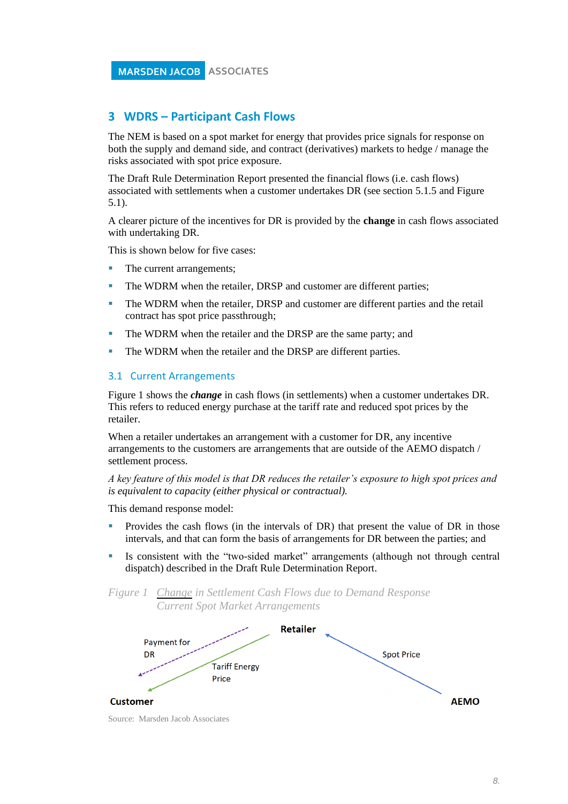### **3 WDRS – Participant Cash Flows**

The NEM is based on a spot market for energy that provides price signals for response on both the supply and demand side, and contract (derivatives) markets to hedge / manage the risks associated with spot price exposure.

The Draft Rule Determination Report presented the financial flows (i.e. cash flows) associated with settlements when a customer undertakes DR (see section 5.1.5 and Figure 5.1).

A clearer picture of the incentives for DR is provided by the **change** in cash flows associated with undertaking DR.

This is shown below for five cases:

- The current arrangements:
- **The WDRM when the retailer, DRSP and customer are different parties;**
- The WDRM when the retailer, DRSP and customer are different parties and the retail contract has spot price passthrough;
- The WDRM when the retailer and the DRSP are the same party; and
- The WDRM when the retailer and the DRSP are different parties.

#### 3.1 Current Arrangements

[Figure 1](#page-10-0) shows the *change* in cash flows (in settlements) when a customer undertakes DR. This refers to reduced energy purchase at the tariff rate and reduced spot prices by the retailer.

When a retailer undertakes an arrangement with a customer for DR, any incentive arrangements to the customers are arrangements that are outside of the AEMO dispatch / settlement process.

*A key feature of this model is that DR reduces the retailer's exposure to high spot prices and is equivalent to capacity (either physical or contractual).*

This demand response model:

- Provides the cash flows (in the intervals of DR) that present the value of DR in those intervals, and that can form the basis of arrangements for DR between the parties; and
- Is consistent with the "two-sided market" arrangements (although not through central dispatch) described in the Draft Rule Determination Report.

<span id="page-10-0"></span>

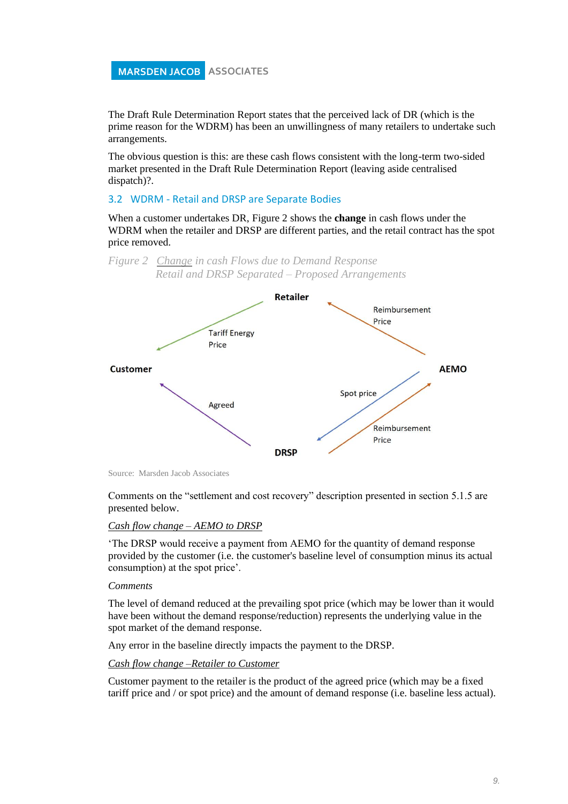The Draft Rule Determination Report states that the perceived lack of DR (which is the prime reason for the WDRM) has been an unwillingness of many retailers to undertake such arrangements.

The obvious question is this: are these cash flows consistent with the long-term two-sided market presented in the Draft Rule Determination Report (leaving aside centralised dispatch)?.

#### 3.2 WDRM - Retail and DRSP are Separate Bodies

<span id="page-11-0"></span>*Figure 2 Change in cash Flows due to Demand Response* 

When a customer undertakes DR, [Figure 2](#page-11-0) shows the **change** in cash flows under the WDRM when the retailer and DRSP are different parties, and the retail contract has the spot price removed.



Source: Marsden Jacob Associates

Comments on the "settlement and cost recovery" description presented in section 5.1.5 are presented below.

#### *Cash flow change – AEMO to DRSP*

'The DRSP would receive a payment from AEMO for the quantity of demand response provided by the customer (i.e. the customer's baseline level of consumption minus its actual consumption) at the spot price'.

#### *Comments*

The level of demand reduced at the prevailing spot price (which may be lower than it would have been without the demand response/reduction) represents the underlying value in the spot market of the demand response.

Any error in the baseline directly impacts the payment to the DRSP.

### *Cash flow change –Retailer to Customer*

Customer payment to the retailer is the product of the agreed price (which may be a fixed tariff price and / or spot price) and the amount of demand response (i.e. baseline less actual).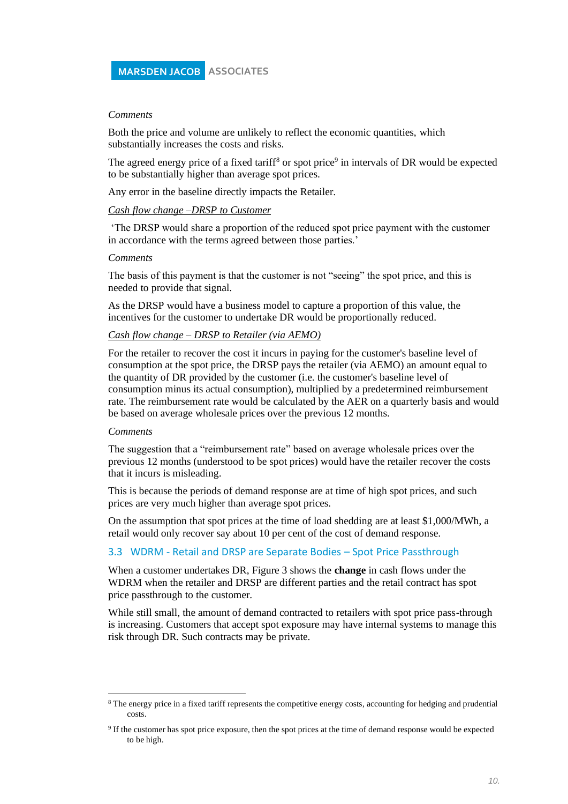#### *Comments*

Both the price and volume are unlikely to reflect the economic quantities, which substantially increases the costs and risks.

The agreed energy price of a fixed tariff<sup>8</sup> or spot price<sup>9</sup> in intervals of DR would be expected to be substantially higher than average spot prices.

Any error in the baseline directly impacts the Retailer.

#### *Cash flow change –DRSP to Customer*

'The DRSP would share a proportion of the reduced spot price payment with the customer in accordance with the terms agreed between those parties.'

#### *Comments*

The basis of this payment is that the customer is not "seeing" the spot price, and this is needed to provide that signal.

As the DRSP would have a business model to capture a proportion of this value, the incentives for the customer to undertake DR would be proportionally reduced.

#### *Cash flow change – DRSP to Retailer (via AEMO)*

For the retailer to recover the cost it incurs in paying for the customer's baseline level of consumption at the spot price, the DRSP pays the retailer (via AEMO) an amount equal to the quantity of DR provided by the customer (i.e. the customer's baseline level of consumption minus its actual consumption), multiplied by a predetermined reimbursement rate. The reimbursement rate would be calculated by the AER on a quarterly basis and would be based on average wholesale prices over the previous 12 months.

#### *Comments*

The suggestion that a "reimbursement rate" based on average wholesale prices over the previous 12 months (understood to be spot prices) would have the retailer recover the costs that it incurs is misleading.

This is because the periods of demand response are at time of high spot prices, and such prices are very much higher than average spot prices.

On the assumption that spot prices at the time of load shedding are at least \$1,000/MWh, a retail would only recover say about 10 per cent of the cost of demand response.

#### 3.3 WDRM - Retail and DRSP are Separate Bodies – Spot Price Passthrough

When a customer undertakes DR, Figure 3 shows the **change** in cash flows under the WDRM when the retailer and DRSP are different parties and the retail contract has spot price passthrough to the customer.

While still small, the amount of demand contracted to retailers with spot price pass-through is increasing. Customers that accept spot exposure may have internal systems to manage this risk through DR. Such contracts may be private.

<sup>8</sup> The energy price in a fixed tariff represents the competitive energy costs, accounting for hedging and prudential costs.

<sup>&</sup>lt;sup>9</sup> If the customer has spot price exposure, then the spot prices at the time of demand response would be expected to be high.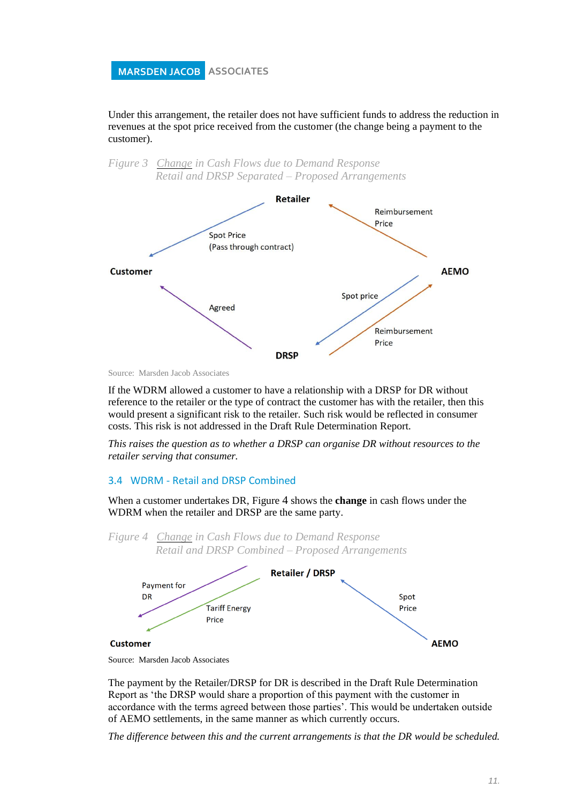Under this arrangement, the retailer does not have sufficient funds to address the reduction in revenues at the spot price received from the customer (the change being a payment to the customer).





If the WDRM allowed a customer to have a relationship with a DRSP for DR without reference to the retailer or the type of contract the customer has with the retailer, then this would present a significant risk to the retailer. Such risk would be reflected in consumer costs. This risk is not addressed in the Draft Rule Determination Report.

*This raises the question as to whether a DRSP can organise DR without resources to the retailer serving that consumer.*

#### 3.4 WDRM - Retail and DRSP Combined

When a customer undertakes DR, [Figure](#page-13-0) 4 shows the **change** in cash flows under the WDRM when the retailer and DRSP are the same party.

<span id="page-13-0"></span>

Source: Marsden Jacob Associates

The payment by the Retailer/DRSP for DR is described in the Draft Rule Determination Report as 'the DRSP would share a proportion of this payment with the customer in accordance with the terms agreed between those parties'. This would be undertaken outside of AEMO settlements, in the same manner as which currently occurs.

*The difference between this and the current arrangements is that the DR would be scheduled.*

Source: Marsden Jacob Associates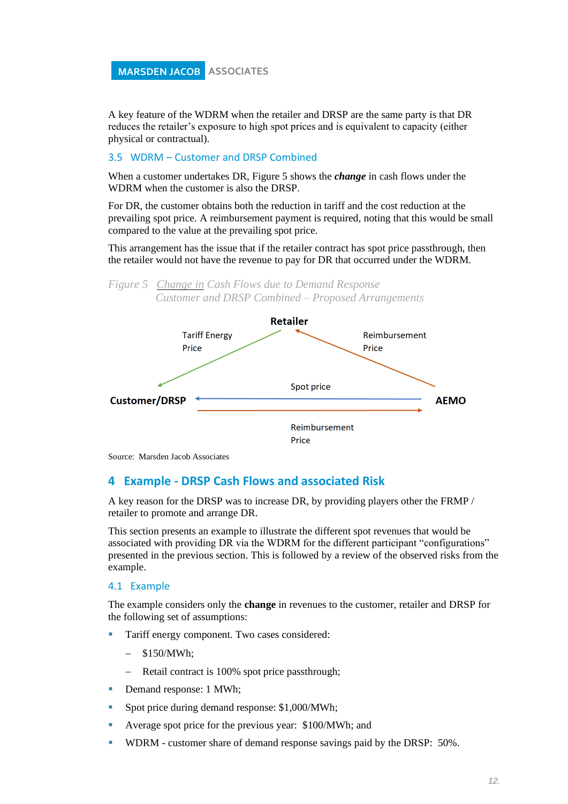A key feature of the WDRM when the retailer and DRSP are the same party is that DR reduces the retailer's exposure to high spot prices and is equivalent to capacity (either physical or contractual).

#### 3.5 WDRM – Customer and DRSP Combined

When a customer undertakes DR, [Figure 5](#page-14-0) shows the *change* in cash flows under the WDRM when the customer is also the DRSP.

For DR, the customer obtains both the reduction in tariff and the cost reduction at the prevailing spot price. A reimbursement payment is required, noting that this would be small compared to the value at the prevailing spot price.

This arrangement has the issue that if the retailer contract has spot price passthrough, then the retailer would not have the revenue to pay for DR that occurred under the WDRM.

<span id="page-14-0"></span>*Figure 5 Change in Cash Flows due to Demand Response Customer and DRSP Combined – Proposed Arrangements* 



Source: Marsden Jacob Associates

### **4 Example - DRSP Cash Flows and associated Risk**

A key reason for the DRSP was to increase DR, by providing players other the FRMP / retailer to promote and arrange DR.

This section presents an example to illustrate the different spot revenues that would be associated with providing DR via the WDRM for the different participant "configurations" presented in the previous section. This is followed by a review of the observed risks from the example.

#### 4.1 Example

The example considers only the **change** in revenues to the customer, retailer and DRSP for the following set of assumptions:

- Tariff energy component. Two cases considered:
	- − \$150/MWh;
	- − Retail contract is 100% spot price passthrough;
- Demand response: 1 MWh;
- Spot price during demand response: \$1,000/MWh;
- Average spot price for the previous year: \$100/MWh; and
- WDRM customer share of demand response savings paid by the DRSP: 50%.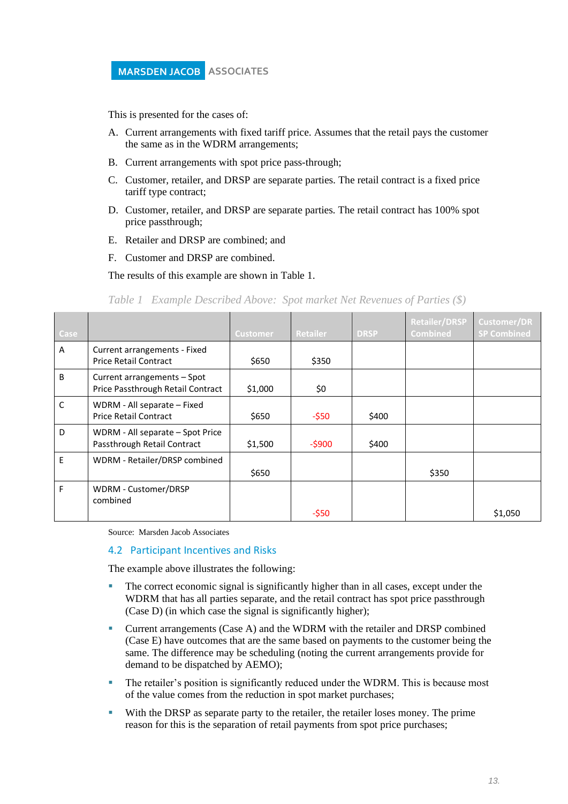This is presented for the cases of:

- A. Current arrangements with fixed tariff price. Assumes that the retail pays the customer the same as in the WDRM arrangements;
- B. Current arrangements with spot price pass-through;
- C. Customer, retailer, and DRSP are separate parties. The retail contract is a fixed price tariff type contract;
- D. Customer, retailer, and DRSP are separate parties. The retail contract has 100% spot price passthrough;
- E. Retailer and DRSP are combined; and
- F. Customer and DRSP are combined.

The results of this example are shown in [Table 1.](#page-15-0)

<span id="page-15-0"></span>*Table 1 Example Described Above: Spot market Net Revenues of Parties (\$)*

| Case         |                                                                  | <b>Customer</b> | <b>Retailer</b> | <b>DRSP</b> | <b>Retailer/DRSP</b><br><b>Combined</b> | <b>Customer/DR</b><br><b>SP Combined</b> |
|--------------|------------------------------------------------------------------|-----------------|-----------------|-------------|-----------------------------------------|------------------------------------------|
| A            | Current arrangements - Fixed<br><b>Price Retail Contract</b>     | \$650           | \$350           |             |                                         |                                          |
| B            | Current arrangements - Spot<br>Price Passthrough Retail Contract | \$1,000         | \$0             |             |                                         |                                          |
| $\mathsf{C}$ | WDRM - All separate - Fixed<br><b>Price Retail Contract</b>      | \$650           | $-$ \$50        | \$400       |                                         |                                          |
| D            | WDRM - All separate - Spot Price<br>Passthrough Retail Contract  | \$1,500         | $-$ \$900       | \$400       |                                         |                                          |
| E            | WDRM - Retailer/DRSP combined                                    | \$650           |                 |             | \$350                                   |                                          |
| F            | WDRM - Customer/DRSP<br>combined                                 |                 | -\$50           |             |                                         | \$1,050                                  |

Source: Marsden Jacob Associates

#### 4.2 Participant Incentives and Risks

The example above illustrates the following:

- **•** The correct economic signal is significantly higher than in all cases, except under the WDRM that has all parties separate, and the retail contract has spot price passthrough (Case D) (in which case the signal is significantly higher);
- Current arrangements (Case A) and the WDRM with the retailer and DRSP combined (Case E) have outcomes that are the same based on payments to the customer being the same. The difference may be scheduling (noting the current arrangements provide for demand to be dispatched by AEMO);
- **•** The retailer's position is significantly reduced under the WDRM. This is because most of the value comes from the reduction in spot market purchases;
- With the DRSP as separate party to the retailer, the retailer loses money. The prime reason for this is the separation of retail payments from spot price purchases;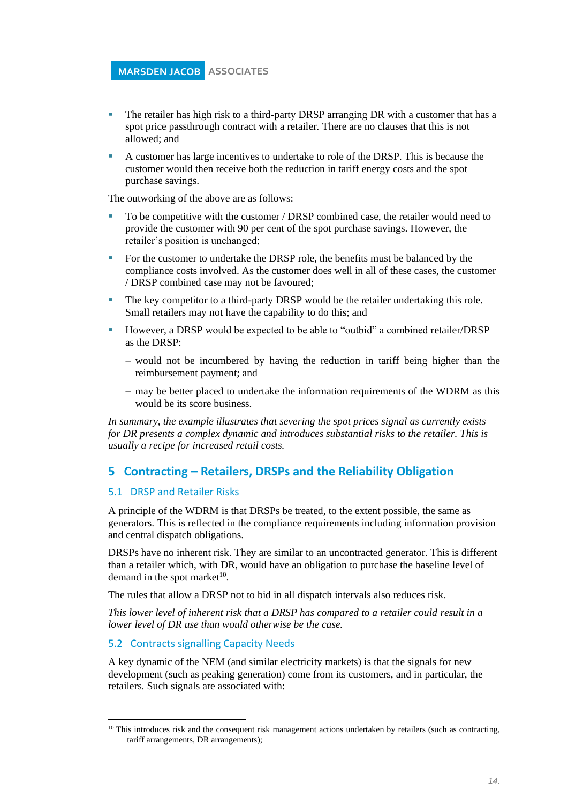- **•** The retailer has high risk to a third-party DRSP arranging DR with a customer that has a spot price passthrough contract with a retailer. There are no clauses that this is not allowed; and
- A customer has large incentives to undertake to role of the DRSP. This is because the customer would then receive both the reduction in tariff energy costs and the spot purchase savings.

The outworking of the above are as follows:

- To be competitive with the customer / DRSP combined case, the retailer would need to provide the customer with 90 per cent of the spot purchase savings. However, the retailer's position is unchanged;
- For the customer to undertake the DRSP role, the benefits must be balanced by the compliance costs involved. As the customer does well in all of these cases, the customer / DRSP combined case may not be favoured;
- **•** The key competitor to a third-party DRSP would be the retailer undertaking this role. Small retailers may not have the capability to do this; and
- However, a DRSP would be expected to be able to "outbid" a combined retailer/DRSP as the DRSP:
	- − would not be incumbered by having the reduction in tariff being higher than the reimbursement payment; and
	- − may be better placed to undertake the information requirements of the WDRM as this would be its score business.

*In summary, the example illustrates that severing the spot prices signal as currently exists for DR presents a complex dynamic and introduces substantial risks to the retailer. This is usually a recipe for increased retail costs.*

### **5 Contracting – Retailers, DRSPs and the Reliability Obligation**

#### 5.1 DRSP and Retailer Risks

A principle of the WDRM is that DRSPs be treated, to the extent possible, the same as generators. This is reflected in the compliance requirements including information provision and central dispatch obligations.

DRSPs have no inherent risk. They are similar to an uncontracted generator. This is different than a retailer which, with DR, would have an obligation to purchase the baseline level of demand in the spot market $10$ .

The rules that allow a DRSP not to bid in all dispatch intervals also reduces risk.

*This lower level of inherent risk that a DRSP has compared to a retailer could result in a lower level of DR use than would otherwise be the case.*

#### 5.2 Contracts signalling Capacity Needs

A key dynamic of the NEM (and similar electricity markets) is that the signals for new development (such as peaking generation) come from its customers, and in particular, the retailers. Such signals are associated with:

 $10$  This introduces risk and the consequent risk management actions undertaken by retailers (such as contracting, tariff arrangements, DR arrangements);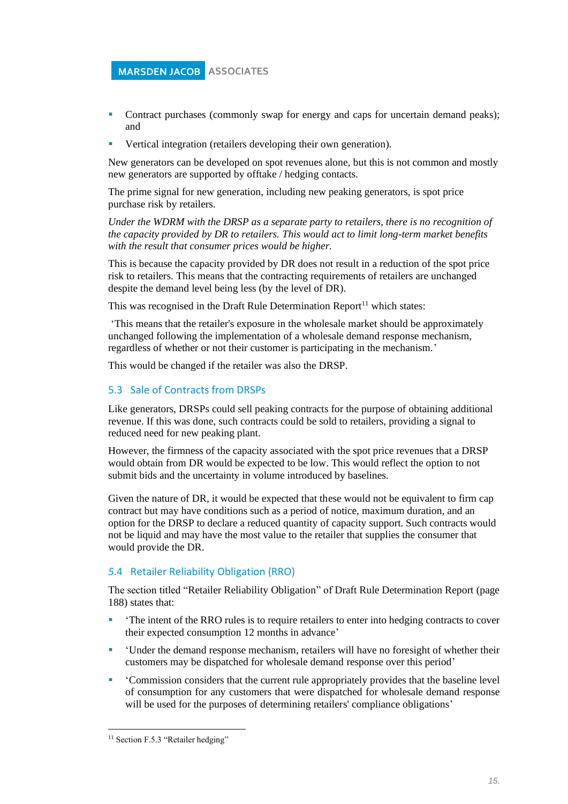- Contract purchases (commonly swap for energy and caps for uncertain demand peaks); and
- Vertical integration (retailers developing their own generation).

New generators can be developed on spot revenues alone, but this is not common and mostly new generators are supported by offtake / hedging contacts.

The prime signal for new generation, including new peaking generators, is spot price purchase risk by retailers.

*Under the WDRM with the DRSP as a separate party to retailers, there is no recognition of the capacity provided by DR to retailers. This would act to limit long-term market benefits with the result that consumer prices would be higher.*

This is because the capacity provided by DR does not result in a reduction of the spot price risk to retailers. This means that the contracting requirements of retailers are unchanged despite the demand level being less (by the level of DR).

This was recognised in the Draft Rule Determination  $Report<sup>11</sup>$  which states:

'This means that the retailer's exposure in the wholesale market should be approximately unchanged following the implementation of a wholesale demand response mechanism, regardless of whether or not their customer is participating in the mechanism.'

This would be changed if the retailer was also the DRSP.

#### 5.3 Sale of Contracts from DRSPs

Like generators, DRSPs could sell peaking contracts for the purpose of obtaining additional revenue. If this was done, such contracts could be sold to retailers, providing a signal to reduced need for new peaking plant.

However, the firmness of the capacity associated with the spot price revenues that a DRSP would obtain from DR would be expected to be low. This would reflect the option to not submit bids and the uncertainty in volume introduced by baselines.

Given the nature of DR, it would be expected that these would not be equivalent to firm cap contract but may have conditions such as a period of notice, maximum duration, and an option for the DRSP to declare a reduced quantity of capacity support. Such contracts would not be liquid and may have the most value to the retailer that supplies the consumer that would provide the DR.

### *5*.4 Retailer Reliability Obligation (RRO)

The section titled "Retailer Reliability Obligation" of Draft Rule Determination Report (page 188) states that:

- 'The intent of the RRO rules is to require retailers to enter into hedging contracts to cover their expected consumption 12 months in advance'
- **•** 'Under the demand response mechanism, retailers will have no foresight of whether their customers may be dispatched for wholesale demand response over this period'
- Commission considers that the current rule appropriately provides that the baseline level of consumption for any customers that were dispatched for wholesale demand response will be used for the purposes of determining retailers' compliance obligations'

<sup>&</sup>lt;sup>11</sup> Section F.5.3 "Retailer hedging"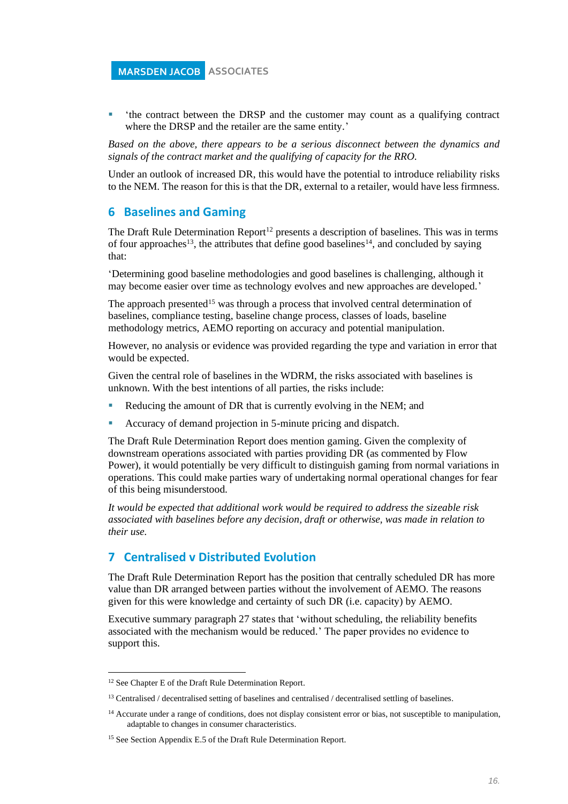▪ 'the contract between the DRSP and the customer may count as a qualifying contract where the DRSP and the retailer are the same entity.'

*Based on the above, there appears to be a serious disconnect between the dynamics and signals of the contract market and the qualifying of capacity for the RRO.* 

Under an outlook of increased DR, this would have the potential to introduce reliability risks to the NEM. The reason for this is that the DR, external to a retailer, would have less firmness.

### **6 Baselines and Gaming**

The Draft Rule Determination Report<sup>12</sup> presents a description of baselines. This was in terms of four approaches<sup>13</sup>, the attributes that define good baselines<sup>14</sup>, and concluded by saying that:

'Determining good baseline methodologies and good baselines is challenging, although it may become easier over time as technology evolves and new approaches are developed.'

The approach presented<sup>15</sup> was through a process that involved central determination of baselines, compliance testing, baseline change process, classes of loads, baseline methodology metrics, AEMO reporting on accuracy and potential manipulation.

However, no analysis or evidence was provided regarding the type and variation in error that would be expected.

Given the central role of baselines in the WDRM, the risks associated with baselines is unknown. With the best intentions of all parties, the risks include:

- Reducing the amount of DR that is currently evolving in the NEM; and
- Accuracy of demand projection in 5-minute pricing and dispatch.

The Draft Rule Determination Report does mention gaming. Given the complexity of downstream operations associated with parties providing DR (as commented by Flow Power), it would potentially be very difficult to distinguish gaming from normal variations in operations. This could make parties wary of undertaking normal operational changes for fear of this being misunderstood.

*It would be expected that additional work would be required to address the sizeable risk associated with baselines before any decision, draft or otherwise, was made in relation to their use.*

### **7 Centralised v Distributed Evolution**

The Draft Rule Determination Report has the position that centrally scheduled DR has more value than DR arranged between parties without the involvement of AEMO. The reasons given for this were knowledge and certainty of such DR (i.e. capacity) by AEMO.

Executive summary paragraph 27 states that 'without scheduling, the reliability benefits associated with the mechanism would be reduced.' The paper provides no evidence to support this.

<sup>&</sup>lt;sup>12</sup> See Chapter E of the Draft Rule Determination Report.

<sup>&</sup>lt;sup>13</sup> Centralised / decentralised setting of baselines and centralised / decentralised settling of baselines.

<sup>&</sup>lt;sup>14</sup> Accurate under a range of conditions, does not display consistent error or bias, not susceptible to manipulation, adaptable to changes in consumer characteristics.

<sup>&</sup>lt;sup>15</sup> See Section Appendix E.5 of the Draft Rule Determination Report.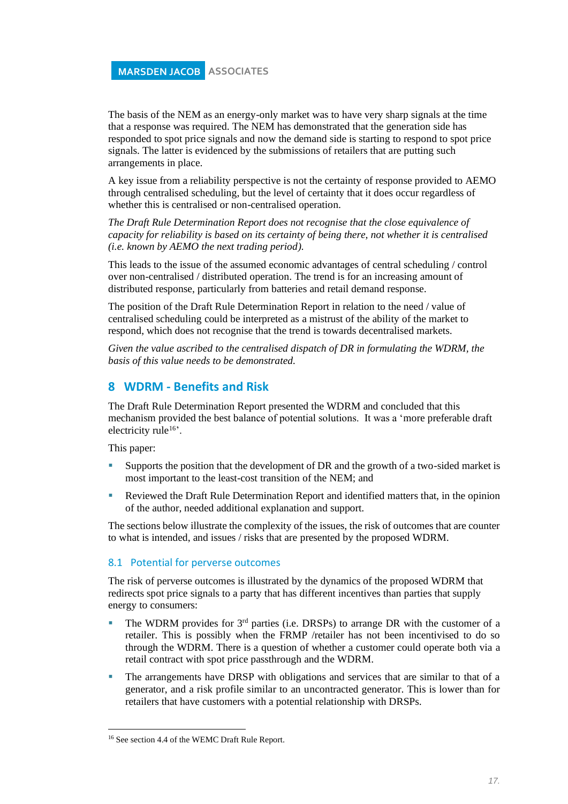The basis of the NEM as an energy-only market was to have very sharp signals at the time that a response was required. The NEM has demonstrated that the generation side has responded to spot price signals and now the demand side is starting to respond to spot price signals. The latter is evidenced by the submissions of retailers that are putting such arrangements in place.

A key issue from a reliability perspective is not the certainty of response provided to AEMO through centralised scheduling, but the level of certainty that it does occur regardless of whether this is centralised or non-centralised operation.

*The Draft Rule Determination Report does not recognise that the close equivalence of capacity for reliability is based on its certainty of being there, not whether it is centralised (i.e. known by AEMO the next trading period).* 

This leads to the issue of the assumed economic advantages of central scheduling / control over non-centralised / distributed operation. The trend is for an increasing amount of distributed response, particularly from batteries and retail demand response.

The position of the Draft Rule Determination Report in relation to the need / value of centralised scheduling could be interpreted as a mistrust of the ability of the market to respond, which does not recognise that the trend is towards decentralised markets.

*Given the value ascribed to the centralised dispatch of DR in formulating the WDRM, the basis of this value needs to be demonstrated.* 

### **8 WDRM - Benefits and Risk**

The Draft Rule Determination Report presented the WDRM and concluded that this mechanism provided the best balance of potential solutions. It was a 'more preferable draft electricity rule<sup>16</sup>'.

This paper:

- Supports the position that the development of DR and the growth of a two-sided market is most important to the least-cost transition of the NEM; and
- Reviewed the Draft Rule Determination Report and identified matters that, in the opinion of the author, needed additional explanation and support.

The sections below illustrate the complexity of the issues, the risk of outcomes that are counter to what is intended, and issues / risks that are presented by the proposed WDRM.

#### 8.1 Potential for perverse outcomes

The risk of perverse outcomes is illustrated by the dynamics of the proposed WDRM that redirects spot price signals to a party that has different incentives than parties that supply energy to consumers:

- **•** The WDRM provides for  $3<sup>rd</sup>$  parties (i.e. DRSPs) to arrange DR with the customer of a retailer. This is possibly when the FRMP /retailer has not been incentivised to do so through the WDRM. There is a question of whether a customer could operate both via a retail contract with spot price passthrough and the WDRM.
- The arrangements have DRSP with obligations and services that are similar to that of a generator, and a risk profile similar to an uncontracted generator. This is lower than for retailers that have customers with a potential relationship with DRSPs.

<sup>16</sup> See section 4.4 of the WEMC Draft Rule Report.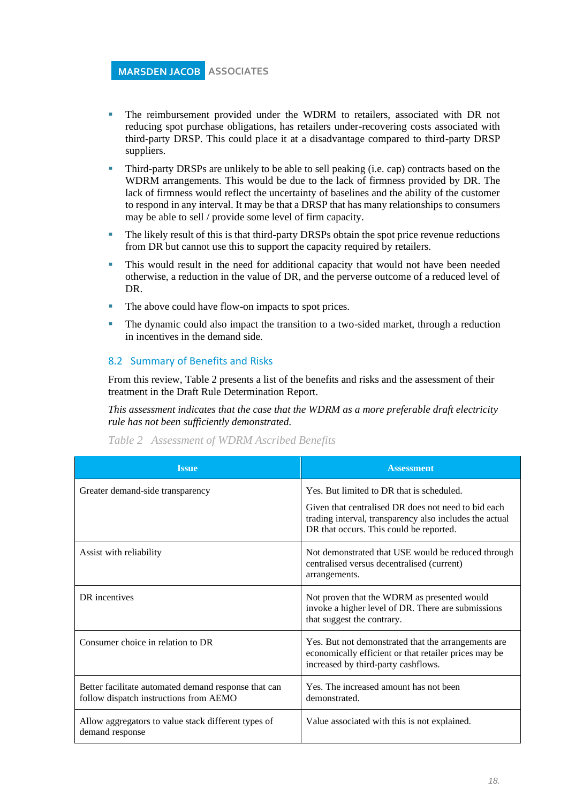- The reimbursement provided under the WDRM to retailers, associated with DR not reducing spot purchase obligations, has retailers under-recovering costs associated with third-party DRSP. This could place it at a disadvantage compared to third-party DRSP suppliers.
- Third-party DRSPs are unlikely to be able to sell peaking (i.e. cap) contracts based on the WDRM arrangements. This would be due to the lack of firmness provided by DR. The lack of firmness would reflect the uncertainty of baselines and the ability of the customer to respond in any interval. It may be that a DRSP that has many relationships to consumers may be able to sell / provide some level of firm capacity.
- **•** The likely result of this is that third-party DRSPs obtain the spot price revenue reductions from DR but cannot use this to support the capacity required by retailers.
- This would result in the need for additional capacity that would not have been needed otherwise, a reduction in the value of DR, and the perverse outcome of a reduced level of DR.
- The above could have flow-on impacts to spot prices.
- The dynamic could also impact the transition to a two-sided market, through a reduction in incentives in the demand side.

#### 8.2 Summary of Benefits and Risks

From this review, Table 2 presents a list of the benefits and risks and the assessment of their treatment in the Draft Rule Determination Report.

*This assessment indicates that the case that the WDRM as a more preferable draft electricity rule has not been sufficiently demonstrated.*

| Table 2 Assessment of WDRM Ascribed Benefits |  |  |
|----------------------------------------------|--|--|
|                                              |  |  |

| <b>Issue</b>                                                                                   | <b>Assessment</b>                                                                                                                                         |
|------------------------------------------------------------------------------------------------|-----------------------------------------------------------------------------------------------------------------------------------------------------------|
| Greater demand-side transparency                                                               | Yes. But limited to DR that is scheduled.                                                                                                                 |
|                                                                                                | Given that centralised DR does not need to bid each<br>trading interval, transparency also includes the actual<br>DR that occurs. This could be reported. |
| Assist with reliability                                                                        | Not demonstrated that USE would be reduced through<br>centralised versus decentralised (current)<br>arrangements.                                         |
| DR incentives                                                                                  | Not proven that the WDRM as presented would<br>invoke a higher level of DR. There are submissions<br>that suggest the contrary.                           |
| Consumer choice in relation to DR                                                              | Yes. But not demonstrated that the arrangements are<br>economically efficient or that retailer prices may be<br>increased by third-party cashflows.       |
| Better facilitate automated demand response that can<br>follow dispatch instructions from AEMO | Yes. The increased amount has not been<br>demonstrated.                                                                                                   |
| Allow aggregators to value stack different types of<br>demand response                         | Value associated with this is not explained.                                                                                                              |